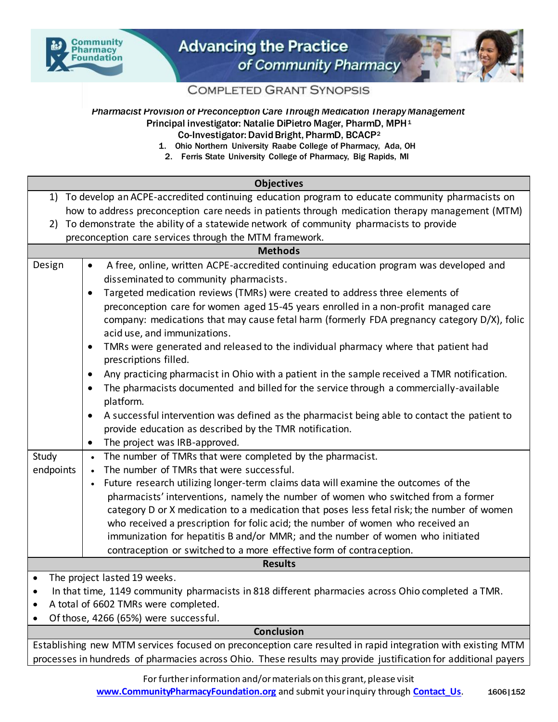



**COMPLETED GRANT SYNOPSIS** 

## *Pharmacist Provision of Preconception Care Through Medication Therapy Management* Principal investigator: Natalie DiPietro Mager, PharmD, MPH<sup>1</sup> Co-Investigator: David Bright, PharmD, BCACP<sup>2</sup>

- 1. Ohio Northern University Raabe College of Pharmacy, Ada, OH
- 2. Ferris State University College of Pharmacy, Big Rapids, MI

| <b>Objectives</b>                                                                                 |                                                                                                                             |
|---------------------------------------------------------------------------------------------------|-----------------------------------------------------------------------------------------------------------------------------|
|                                                                                                   | 1) To develop an ACPE-accredited continuing education program to educate community pharmacists on                           |
| how to address preconception care needs in patients through medication therapy management (MTM)   |                                                                                                                             |
|                                                                                                   | 2) To demonstrate the ability of a statewide network of community pharmacists to provide                                    |
| preconception care services through the MTM framework.                                            |                                                                                                                             |
| <b>Methods</b>                                                                                    |                                                                                                                             |
| Design                                                                                            | A free, online, written ACPE-accredited continuing education program was developed and<br>$\bullet$                         |
|                                                                                                   | disseminated to community pharmacists.                                                                                      |
|                                                                                                   | Targeted medication reviews (TMRs) were created to address three elements of<br>$\bullet$                                   |
|                                                                                                   | preconception care for women aged 15-45 years enrolled in a non-profit managed care                                         |
|                                                                                                   | company: medications that may cause fetal harm (formerly FDA pregnancy category D/X), folic<br>acid use, and immunizations. |
|                                                                                                   | TMRs were generated and released to the individual pharmacy where that patient had<br>$\bullet$                             |
|                                                                                                   | prescriptions filled.                                                                                                       |
|                                                                                                   | Any practicing pharmacist in Ohio with a patient in the sample received a TMR notification.<br>$\bullet$                    |
|                                                                                                   | The pharmacists documented and billed for the service through a commercially-available<br>$\bullet$                         |
|                                                                                                   | platform.                                                                                                                   |
|                                                                                                   | A successful intervention was defined as the pharmacist being able to contact the patient to<br>$\bullet$                   |
|                                                                                                   | provide education as described by the TMR notification.                                                                     |
|                                                                                                   | The project was IRB-approved.<br>$\bullet$                                                                                  |
| Study                                                                                             | • The number of TMRs that were completed by the pharmacist.                                                                 |
| endpoints                                                                                         | • The number of TMRs that were successful.                                                                                  |
|                                                                                                   | Future research utilizing longer-term claims data will examine the outcomes of the<br>$\bullet$                             |
|                                                                                                   | pharmacists' interventions, namely the number of women who switched from a former                                           |
|                                                                                                   | category D or X medication to a medication that poses less fetal risk; the number of women                                  |
|                                                                                                   | who received a prescription for folic acid; the number of women who received an                                             |
|                                                                                                   | immunization for hepatitis B and/or MMR; and the number of women who initiated                                              |
|                                                                                                   | contraception or switched to a more effective form of contraception.                                                        |
| <b>Results</b>                                                                                    |                                                                                                                             |
| The project lasted 19 weeks.<br>$\bullet$                                                         |                                                                                                                             |
| In that time, 1149 community pharmacists in 818 different pharmacies across Ohio completed a TMR. |                                                                                                                             |
| A total of 6602 TMRs were completed.<br>$\bullet$<br>Of those, 4266 (65%) were successful.        |                                                                                                                             |
| <b>Conclusion</b>                                                                                 |                                                                                                                             |
|                                                                                                   |                                                                                                                             |

Establishing new MTM services focused on preconception care resulted in rapid integration with existing MTM processes in hundreds of pharmacies across Ohio. These results may provide justification for additional payers

> For further information and/or materials on this grant, please visit **[www.CommunityPharmacyFoundation.org](http://www.communitypharmacyfoundation.org/)** and submit your inquiry through **[Contact\\_Us](http://communitypharmacyfoundation.org/about/contact.asp).** 1606|152